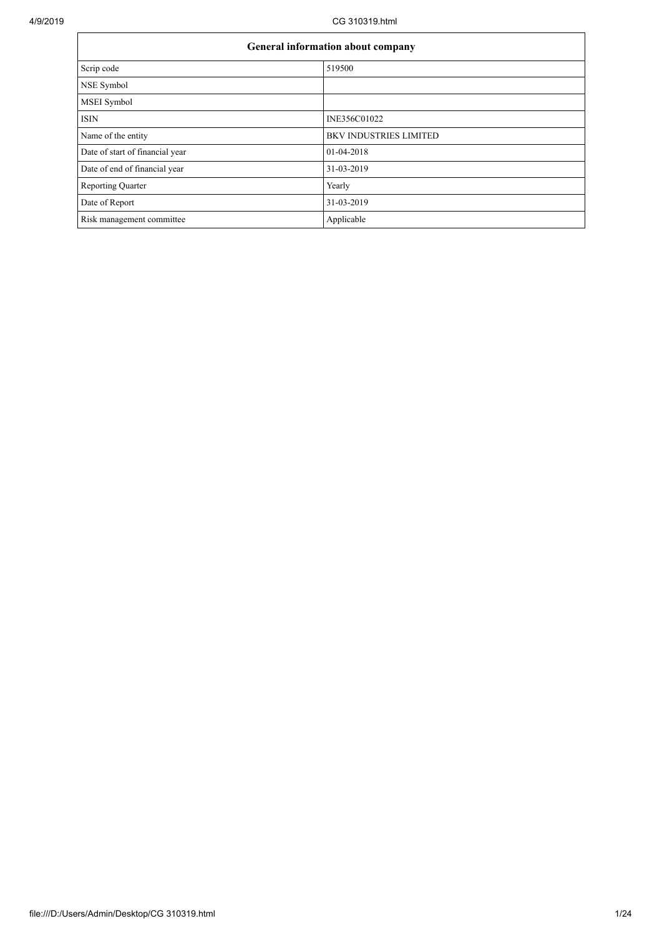| <b>General information about company</b> |                               |  |  |  |  |
|------------------------------------------|-------------------------------|--|--|--|--|
| Scrip code                               | 519500                        |  |  |  |  |
| NSE Symbol                               |                               |  |  |  |  |
| <b>MSEI</b> Symbol                       |                               |  |  |  |  |
| <b>ISIN</b>                              | INE356C01022                  |  |  |  |  |
| Name of the entity                       | <b>BKV INDUSTRIES LIMITED</b> |  |  |  |  |
| Date of start of financial year          | $01-04-2018$                  |  |  |  |  |
| Date of end of financial year            | 31-03-2019                    |  |  |  |  |
| <b>Reporting Quarter</b>                 | Yearly                        |  |  |  |  |
| Date of Report                           | 31-03-2019                    |  |  |  |  |
| Risk management committee                | Applicable                    |  |  |  |  |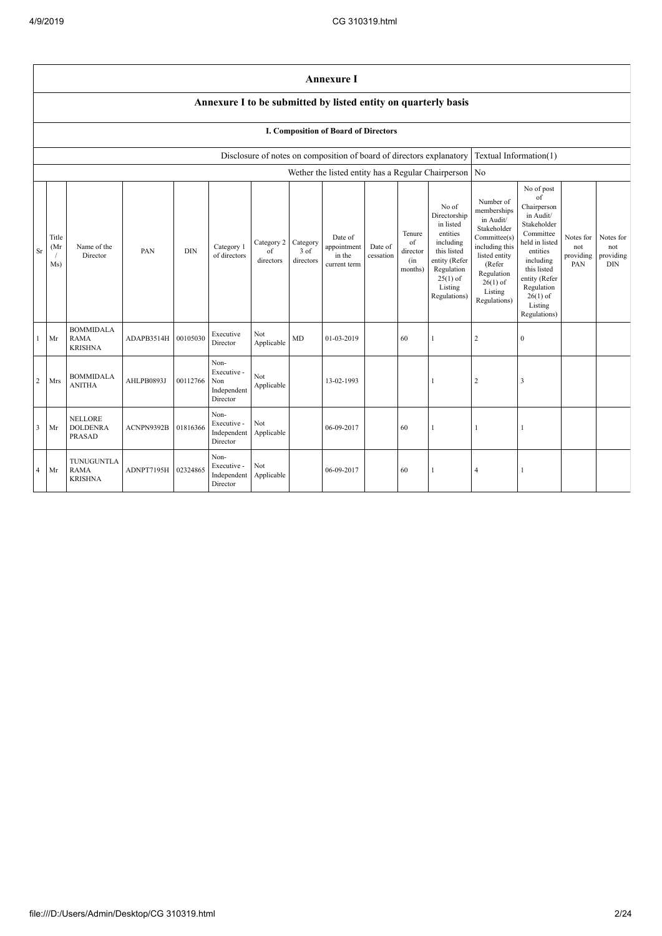$\mathbf{r}$ 

|                | <b>Annexure I</b>                                                                                                                                                                                                                                                                                                                                                                                                                                                                                                                                                                                                                                                                                                                                                                                                                                                                                          |                                                    |            |          |                                                       |                   |                        |                                                                      |  |    |                                                       |                        |                  |  |  |
|----------------|------------------------------------------------------------------------------------------------------------------------------------------------------------------------------------------------------------------------------------------------------------------------------------------------------------------------------------------------------------------------------------------------------------------------------------------------------------------------------------------------------------------------------------------------------------------------------------------------------------------------------------------------------------------------------------------------------------------------------------------------------------------------------------------------------------------------------------------------------------------------------------------------------------|----------------------------------------------------|------------|----------|-------------------------------------------------------|-------------------|------------------------|----------------------------------------------------------------------|--|----|-------------------------------------------------------|------------------------|------------------|--|--|
|                | Annexure I to be submitted by listed entity on quarterly basis                                                                                                                                                                                                                                                                                                                                                                                                                                                                                                                                                                                                                                                                                                                                                                                                                                             |                                                    |            |          |                                                       |                   |                        |                                                                      |  |    |                                                       |                        |                  |  |  |
|                |                                                                                                                                                                                                                                                                                                                                                                                                                                                                                                                                                                                                                                                                                                                                                                                                                                                                                                            |                                                    |            |          |                                                       |                   |                        | I. Composition of Board of Directors                                 |  |    |                                                       |                        |                  |  |  |
|                |                                                                                                                                                                                                                                                                                                                                                                                                                                                                                                                                                                                                                                                                                                                                                                                                                                                                                                            |                                                    |            |          |                                                       |                   |                        | Disclosure of notes on composition of board of directors explanatory |  |    |                                                       | Textual Information(1) |                  |  |  |
|                |                                                                                                                                                                                                                                                                                                                                                                                                                                                                                                                                                                                                                                                                                                                                                                                                                                                                                                            |                                                    |            |          |                                                       |                   |                        |                                                                      |  |    | Wether the listed entity has a Regular Chairperson No |                        |                  |  |  |
| Sr             | No of post<br>of<br>Number of<br>No of<br>Chairperson<br>memberships<br>Directorship<br>in Audit/<br>in Audit/<br>in listed<br>Stakeholder<br>Stakeholder<br>entities<br>Committee<br>Tenure<br>Committee(s)<br>Notes for<br>Title<br>Date of<br>Category 2<br>Category<br>of<br>including<br>held in listed<br>Name of the<br>including this<br>Category 1<br>(Mr<br>appointment<br>Date of<br>not<br>not<br>of<br>3 of<br>this listed<br><b>DIN</b><br>entities<br>PAN<br>director<br>Director<br>of directors<br>cessation<br>listed entity<br>providing<br>in the<br>directors<br>entity (Refer<br>including<br>directors<br>(in<br>(Refer<br>PAN<br><b>DIN</b><br>Ms)<br>current term<br>this listed<br>Regulation<br>months)<br>Regulation<br>$25(1)$ of<br>entity (Refer<br>$26(1)$ of<br>Listing<br>Regulation<br>Listing<br>Regulations)<br>$26(1)$ of<br>Regulations)<br>Listing<br>Regulations) |                                                    |            |          |                                                       |                   | Notes for<br>providing |                                                                      |  |    |                                                       |                        |                  |  |  |
| $\mathbf{1}$   | Mr                                                                                                                                                                                                                                                                                                                                                                                                                                                                                                                                                                                                                                                                                                                                                                                                                                                                                                         | <b>BOMMIDALA</b><br><b>RAMA</b><br><b>KRISHNA</b>  | ADAPB3514H | 00105030 | Executive<br>Director                                 | Not<br>Applicable | <b>MD</b>              | 01-03-2019                                                           |  | 60 | $\mathbf{1}$                                          | 2                      | $\boldsymbol{0}$ |  |  |
| 2              | Mrs                                                                                                                                                                                                                                                                                                                                                                                                                                                                                                                                                                                                                                                                                                                                                                                                                                                                                                        | <b>BOMMIDALA</b><br><b>ANITHA</b>                  | AHLPB0893J | 00112766 | Non-<br>Executive -<br>Non<br>Independent<br>Director | Not<br>Applicable |                        | 13-02-1993                                                           |  |    | $\mathbf{1}$                                          | $\overline{2}$         | 3                |  |  |
| 3              | Mr                                                                                                                                                                                                                                                                                                                                                                                                                                                                                                                                                                                                                                                                                                                                                                                                                                                                                                         | <b>NELLORE</b><br><b>DOLDENRA</b><br><b>PRASAD</b> | ACNPN9392B | 01816366 | Non-<br>Executive -<br>Independent<br>Director        | Not<br>Applicable |                        | 06-09-2017                                                           |  | 60 | 1                                                     |                        | $\overline{1}$   |  |  |
| $\overline{4}$ | Mr                                                                                                                                                                                                                                                                                                                                                                                                                                                                                                                                                                                                                                                                                                                                                                                                                                                                                                         | TUNUGUNTLA<br><b>RAMA</b><br><b>KRISHNA</b>        | ADNPT7195H | 02324865 | Non-<br>Executive -<br>Independent<br>Director        | Not<br>Applicable |                        | 06-09-2017                                                           |  | 60 | 1                                                     | $\overline{4}$         | -1               |  |  |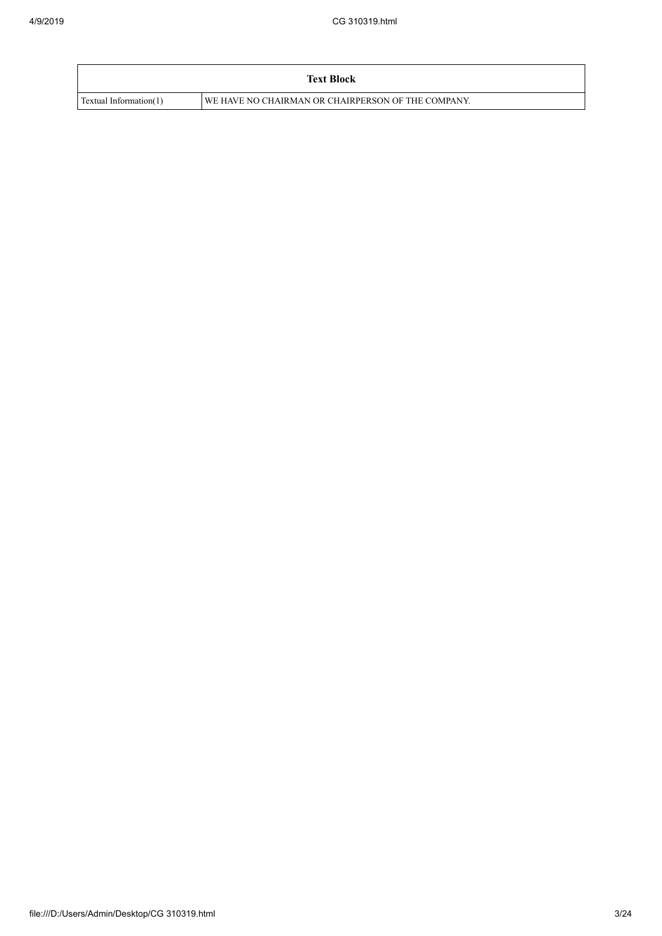|                        | <b>Text Block</b>                                  |
|------------------------|----------------------------------------------------|
| Textual Information(1) | WE HAVE NO CHAIRMAN OR CHAIRPERSON OF THE COMPANY. |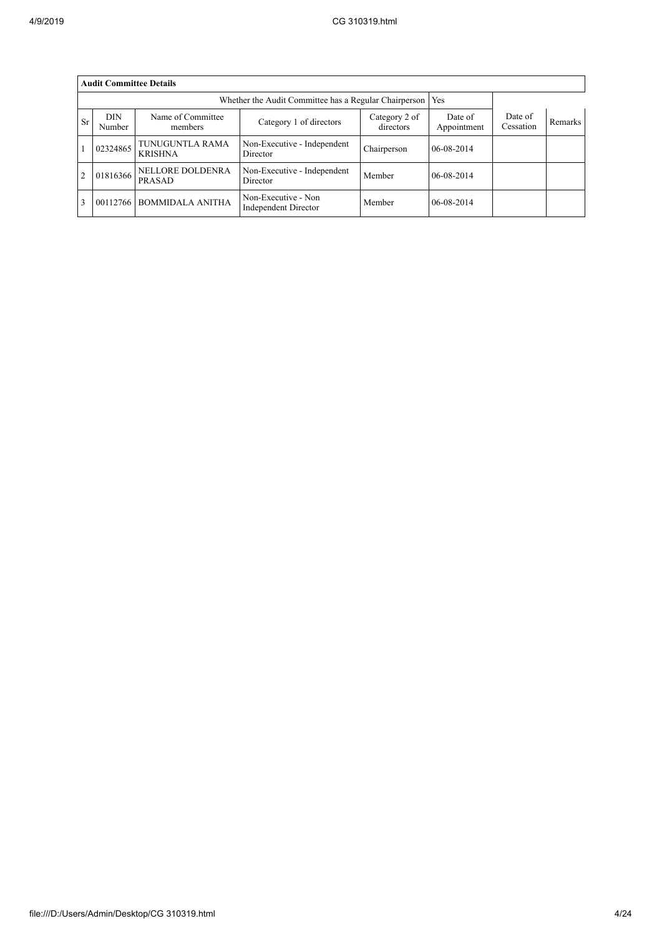|                | <b>Audit Committee Details</b> |                                   |                                             |                            |                        |                      |         |  |  |
|----------------|--------------------------------|-----------------------------------|---------------------------------------------|----------------------------|------------------------|----------------------|---------|--|--|
|                |                                |                                   |                                             |                            |                        |                      |         |  |  |
| Sr             | <b>DIN</b><br>Number           | Name of Committee<br>members      | Category 1 of directors                     | Category 2 of<br>directors | Date of<br>Appointment | Date of<br>Cessation | Remarks |  |  |
|                | 02324865                       | TUNUGUNTLA RAMA<br><b>KRISHNA</b> | Non-Executive - Independent<br>Director     | Chairperson                | $06 - 08 - 2014$       |                      |         |  |  |
| $\overline{2}$ | 01816366                       | <b>NELLORE DOLDENRA</b><br>PRASAD | Non-Executive - Independent<br>Director     | Member                     | 06-08-2014             |                      |         |  |  |
| 3              | 00112766                       | <b>BOMMIDALA ANITHA</b>           | Non-Executive - Non<br>Independent Director | Member                     | 06-08-2014             |                      |         |  |  |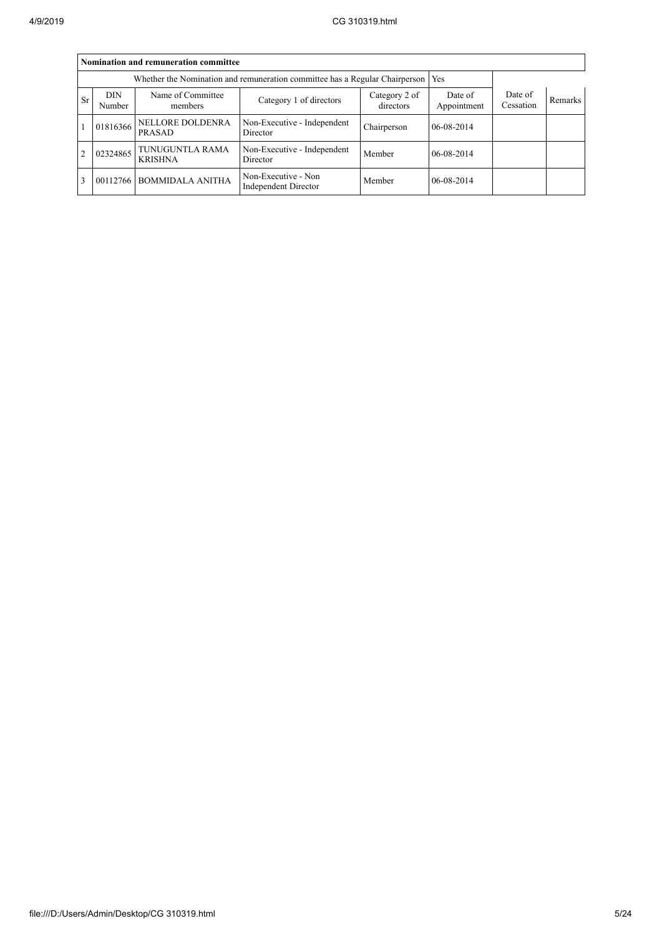|                | Nomination and remuneration committee                                       |                                   |                                                    |                            |                        |                      |                |  |  |  |
|----------------|-----------------------------------------------------------------------------|-----------------------------------|----------------------------------------------------|----------------------------|------------------------|----------------------|----------------|--|--|--|
|                | Whether the Nomination and remuneration committee has a Regular Chairperson |                                   |                                                    |                            |                        |                      |                |  |  |  |
| S <sub>r</sub> | <b>DIN</b><br>Number                                                        | Name of Committee<br>members      | Category 1 of directors                            | Category 2 of<br>directors | Date of<br>Appointment | Date of<br>Cessation | <b>Remarks</b> |  |  |  |
|                | 01816366                                                                    | NELLORE DOLDENRA<br>PRASAD        | Non-Executive - Independent<br>Director            | Chairperson                | 06-08-2014             |                      |                |  |  |  |
| $\overline{2}$ | 02324865                                                                    | TUNUGUNTLA RAMA<br><b>KRISHNA</b> | Non-Executive - Independent<br>Director            | Member                     | 06-08-2014             |                      |                |  |  |  |
| 3              |                                                                             | 00112766 BOMMIDALA ANITHA         | Non-Executive - Non<br><b>Independent Director</b> | Member                     | 06-08-2014             |                      |                |  |  |  |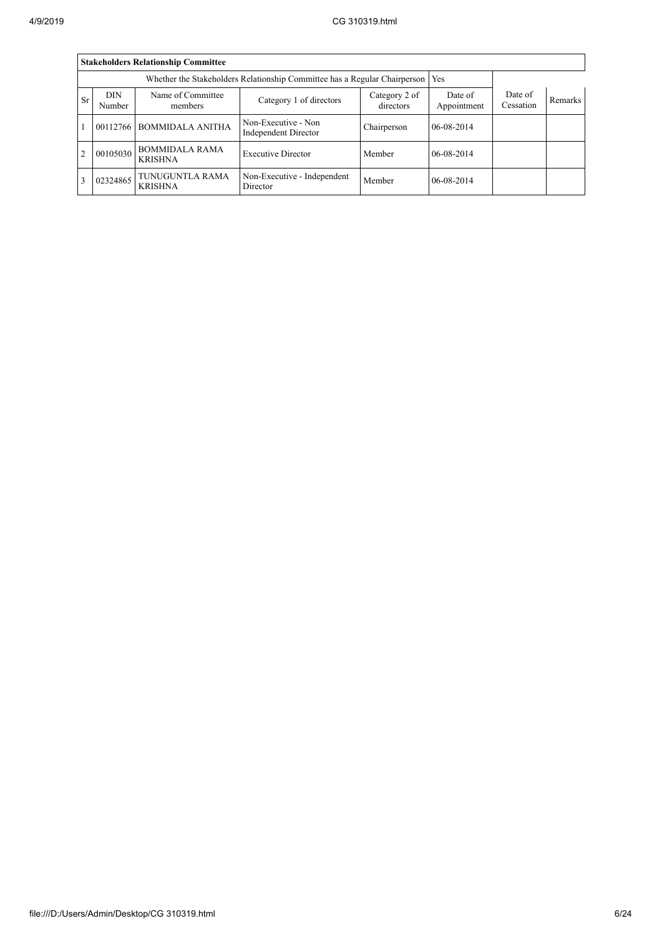|                | <b>Stakeholders Relationship Committee</b> |                                         |                                                    |                            |                        |                      |                |  |  |  |
|----------------|--------------------------------------------|-----------------------------------------|----------------------------------------------------|----------------------------|------------------------|----------------------|----------------|--|--|--|
|                |                                            |                                         |                                                    |                            |                        |                      |                |  |  |  |
| Sr             | <b>DIN</b><br>Number                       | Name of Committee<br>members            | Category 1 of directors                            | Category 2 of<br>directors | Date of<br>Appointment | Date of<br>Cessation | <b>Remarks</b> |  |  |  |
|                |                                            | 00112766 BOMMIDALA ANITHA               | Non-Executive - Non<br><b>Independent Director</b> | Chairperson                | $06 - 08 - 2014$       |                      |                |  |  |  |
| $\overline{2}$ | 00105030                                   | <b>BOMMIDALA RAMA</b><br><b>KRISHNA</b> | <b>Executive Director</b>                          | Member                     | $06 - 08 - 2014$       |                      |                |  |  |  |
| $\overline{3}$ | 02324865                                   | TUNUGUNTLA RAMA<br><b>KRISHNA</b>       | Non-Executive - Independent<br>Director            | Member                     | $06-08-2014$           |                      |                |  |  |  |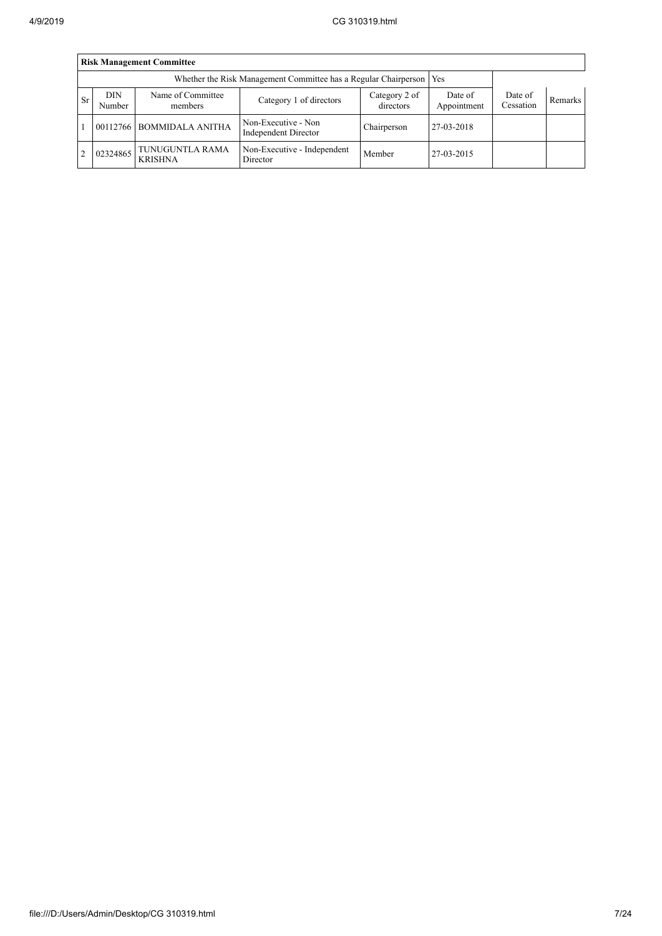|           | <b>Risk Management Committee</b> |                                   |                                             |                            |                        |                      |                |  |  |  |
|-----------|----------------------------------|-----------------------------------|---------------------------------------------|----------------------------|------------------------|----------------------|----------------|--|--|--|
|           |                                  |                                   |                                             |                            |                        |                      |                |  |  |  |
| <b>Sr</b> | DIN<br>Number                    | Name of Committee<br>members      | Category 1 of directors                     | Category 2 of<br>directors | Date of<br>Appointment | Date of<br>Cessation | <b>Remarks</b> |  |  |  |
|           |                                  | 00112766 BOMMIDALA ANITHA         | Non-Executive - Non<br>Independent Director | Chairperson                | 27-03-2018             |                      |                |  |  |  |
| 2         | 02324865                         | TUNUGUNTLA RAMA<br><b>KRISHNA</b> | Non-Executive - Independent<br>Director     | Member                     | 27-03-2015             |                      |                |  |  |  |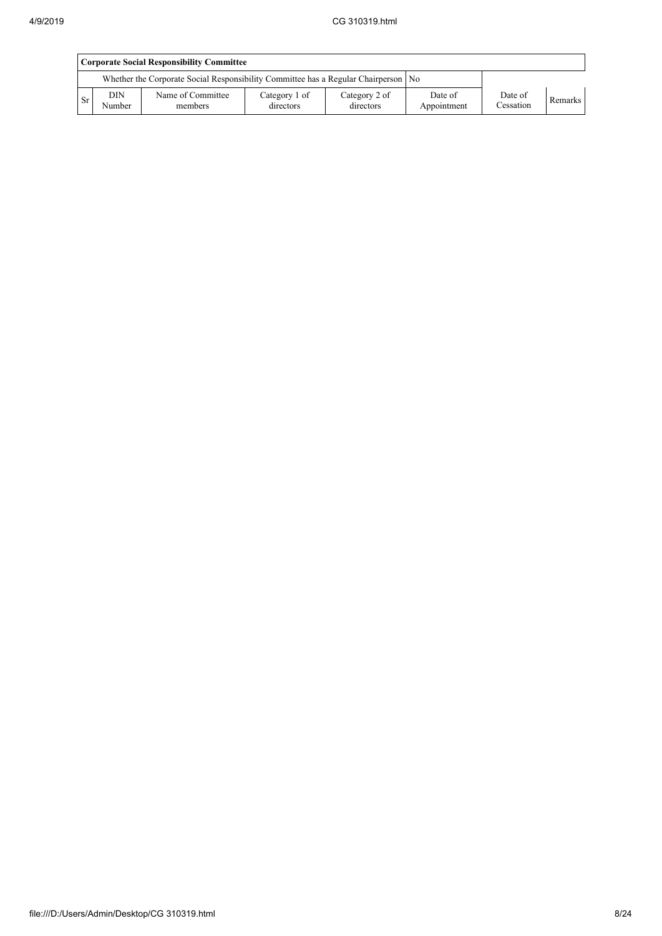|     | <b>Corporate Social Responsibility Committee</b> |                                                                                      |                            |                            |                        |                      |                |  |  |
|-----|--------------------------------------------------|--------------------------------------------------------------------------------------|----------------------------|----------------------------|------------------------|----------------------|----------------|--|--|
|     |                                                  | Whether the Corporate Social Responsibility Committee has a Regular Chairperson   No |                            |                            |                        |                      |                |  |  |
| 'Sr | <b>DIN</b><br>Number                             | Name of Committee<br>members                                                         | Category 1 of<br>directors | Category 2 of<br>directors | Date of<br>Appointment | Date of<br>Cessation | <b>Remarks</b> |  |  |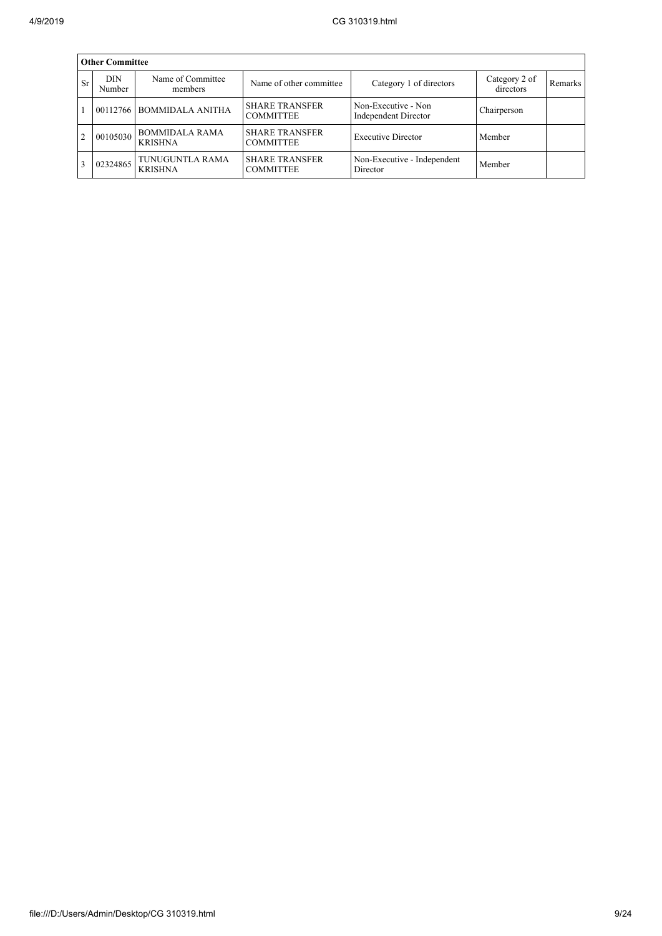|                | <b>Other Committee</b> |                                         |                                           |                                             |                            |         |  |  |  |  |
|----------------|------------------------|-----------------------------------------|-------------------------------------------|---------------------------------------------|----------------------------|---------|--|--|--|--|
| <b>Sr</b>      | <b>DIN</b><br>Number   | Name of Committee<br>members            | Name of other committee                   | Category 1 of directors                     | Category 2 of<br>directors | Remarks |  |  |  |  |
|                |                        | 00112766 BOMMIDALA ANITHA               | <b>SHARE TRANSFER</b><br><b>COMMITTEE</b> | Non-Executive - Non<br>Independent Director | Chairperson                |         |  |  |  |  |
| $\overline{2}$ | 00105030               | <b>BOMMIDALA RAMA</b><br><b>KRISHNA</b> | <b>SHARE TRANSFER</b><br><b>COMMITTEE</b> | <b>Executive Director</b>                   | Member                     |         |  |  |  |  |
|                | 02324865               | TUNUGUNTLA RAMA<br><b>KRISHNA</b>       | <b>SHARE TRANSFER</b><br><b>COMMITTEE</b> | Non-Executive - Independent<br>Director     | Member                     |         |  |  |  |  |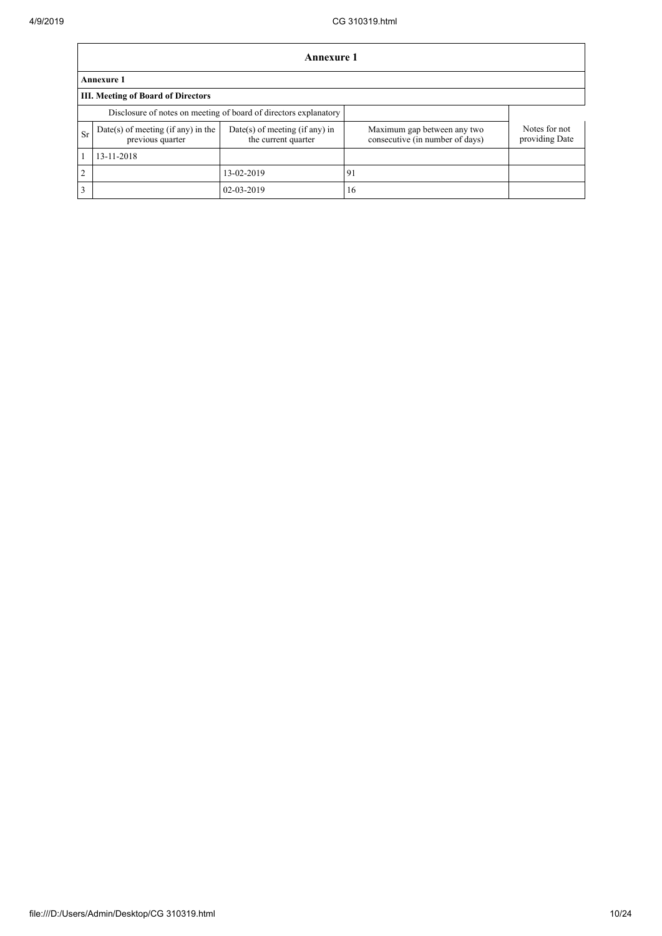|              | Annexure 1                                                       |                                                       |                                                                |                                 |  |  |  |  |
|--------------|------------------------------------------------------------------|-------------------------------------------------------|----------------------------------------------------------------|---------------------------------|--|--|--|--|
|              | <b>Annexure 1</b>                                                |                                                       |                                                                |                                 |  |  |  |  |
|              | III. Meeting of Board of Directors                               |                                                       |                                                                |                                 |  |  |  |  |
|              | Disclosure of notes on meeting of board of directors explanatory |                                                       |                                                                |                                 |  |  |  |  |
| Sr           | $Date(s)$ of meeting (if any) in the<br>previous quarter         | Date(s) of meeting (if any) in<br>the current quarter | Maximum gap between any two<br>consecutive (in number of days) | Notes for not<br>providing Date |  |  |  |  |
| $\mathbf{1}$ | 13-11-2018                                                       |                                                       |                                                                |                                 |  |  |  |  |
| 2            |                                                                  | 13-02-2019                                            | 91                                                             |                                 |  |  |  |  |
| 3            |                                                                  | 02-03-2019                                            | 16                                                             |                                 |  |  |  |  |

٦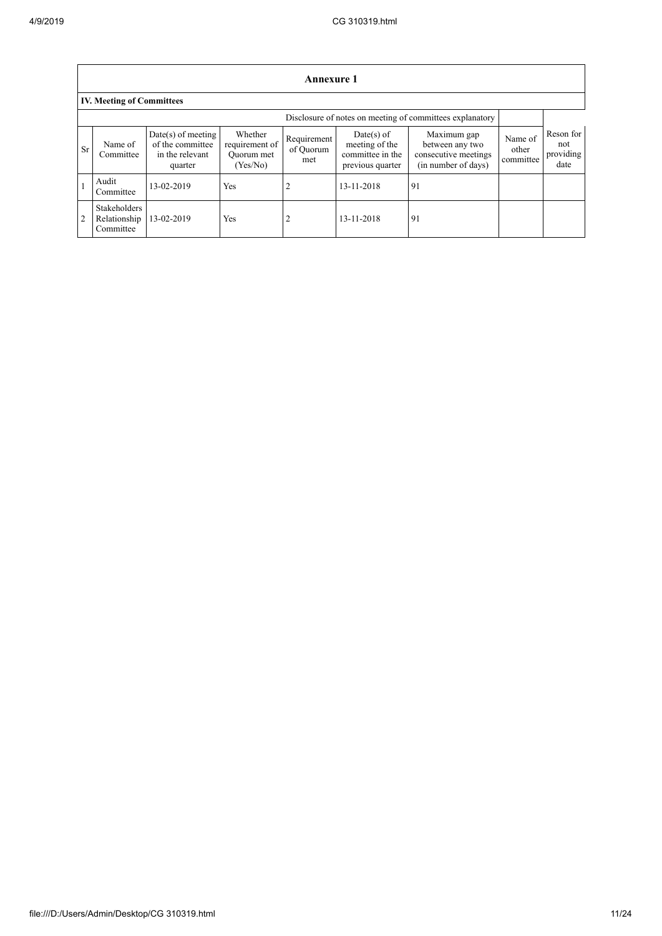|    | Annexure 1                                               |                                                                        |                                                     |                                 |                                                                        |                                                                               |                               |                                       |  |
|----|----------------------------------------------------------|------------------------------------------------------------------------|-----------------------------------------------------|---------------------------------|------------------------------------------------------------------------|-------------------------------------------------------------------------------|-------------------------------|---------------------------------------|--|
|    | <b>IV. Meeting of Committees</b>                         |                                                                        |                                                     |                                 |                                                                        |                                                                               |                               |                                       |  |
|    | Disclosure of notes on meeting of committees explanatory |                                                                        |                                                     |                                 |                                                                        |                                                                               |                               |                                       |  |
| Sr | Name of<br>Committee                                     | $Date(s)$ of meeting<br>of the committee<br>in the relevant<br>quarter | Whether<br>requirement of<br>Quorum met<br>(Yes/No) | Requirement<br>of Quorum<br>met | $Date(s)$ of<br>meeting of the<br>committee in the<br>previous quarter | Maximum gap<br>between any two<br>consecutive meetings<br>(in number of days) | Name of<br>other<br>committee | Reson for<br>not<br>providing<br>date |  |
|    | Audit<br>Committee                                       | 13-02-2019                                                             | Yes                                                 | 2                               | 13-11-2018                                                             | 91                                                                            |                               |                                       |  |
|    | <b>Stakeholders</b><br>Relationship<br>Committee         | 13-02-2019                                                             | Yes                                                 | 2                               | 13-11-2018                                                             | 91                                                                            |                               |                                       |  |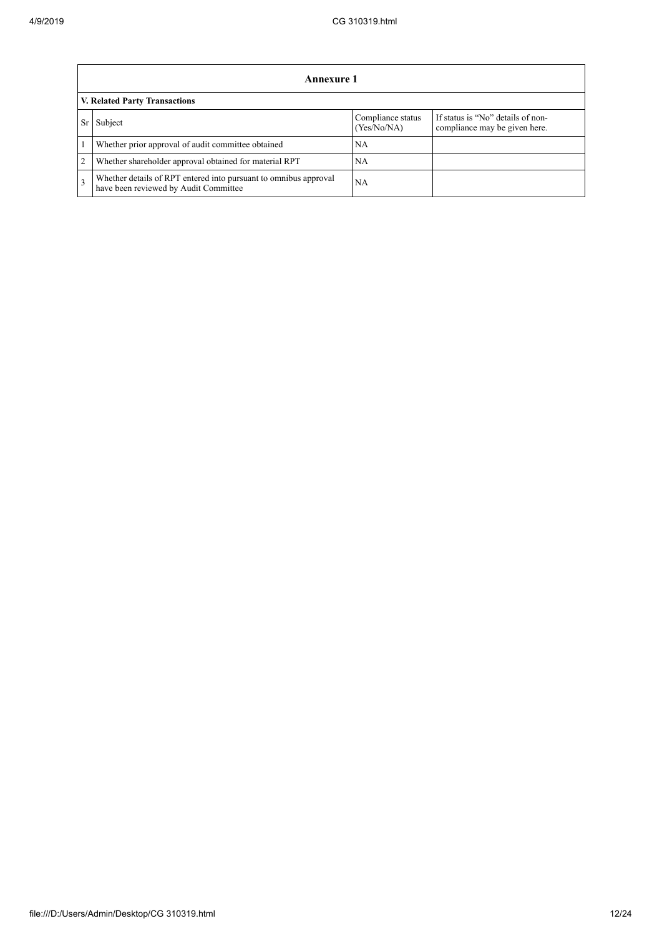|                 | Annexure 1                                                                                                |                                  |                                                                    |  |  |  |  |  |
|-----------------|-----------------------------------------------------------------------------------------------------------|----------------------------------|--------------------------------------------------------------------|--|--|--|--|--|
|                 | V. Related Party Transactions                                                                             |                                  |                                                                    |  |  |  |  |  |
| Sr <sup>2</sup> | Subject                                                                                                   | Compliance status<br>(Yes/No/NA) | If status is "No" details of non-<br>compliance may be given here. |  |  |  |  |  |
|                 | Whether prior approval of audit committee obtained                                                        | <b>NA</b>                        |                                                                    |  |  |  |  |  |
| $\overline{2}$  | Whether shareholder approval obtained for material RPT                                                    | <b>NA</b>                        |                                                                    |  |  |  |  |  |
| $\overline{3}$  | Whether details of RPT entered into pursuant to omnibus approval<br>have been reviewed by Audit Committee | <b>NA</b>                        |                                                                    |  |  |  |  |  |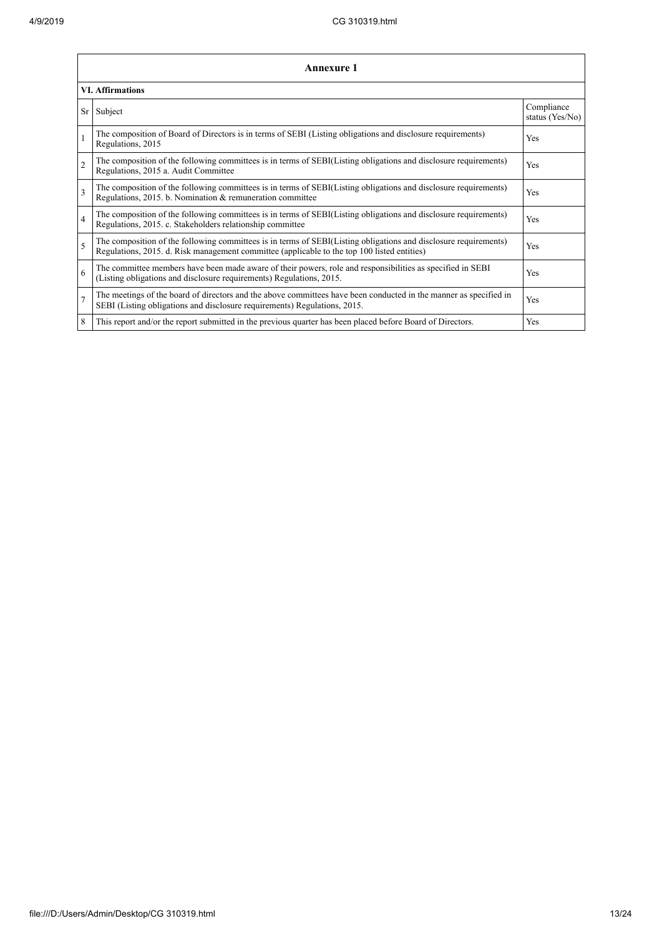|                          | <b>Annexure 1</b>                                                                                                                                                                                               |                               |
|--------------------------|-----------------------------------------------------------------------------------------------------------------------------------------------------------------------------------------------------------------|-------------------------------|
|                          | <b>VI. Affirmations</b>                                                                                                                                                                                         |                               |
|                          | Sr Subject                                                                                                                                                                                                      | Compliance<br>status (Yes/No) |
|                          | The composition of Board of Directors is in terms of SEBI (Listing obligations and disclosure requirements)<br>Regulations, 2015                                                                                | Yes                           |
| $\overline{c}$           | The composition of the following committees is in terms of SEBI(Listing obligations and disclosure requirements)<br>Regulations, 2015 a. Audit Committee                                                        | Yes                           |
| 3                        | The composition of the following committees is in terms of SEBI(Listing obligations and disclosure requirements)<br>Regulations, 2015. b. Nomination & remuneration committee                                   | Yes                           |
| $\overline{4}$           | The composition of the following committees is in terms of SEBI(Listing obligations and disclosure requirements)<br>Regulations, 2015. c. Stakeholders relationship committee                                   | Yes                           |
| $\overline{\phantom{0}}$ | The composition of the following committees is in terms of SEBI(Listing obligations and disclosure requirements)<br>Regulations, 2015. d. Risk management committee (applicable to the top 100 listed entities) | Yes                           |
| 6                        | The committee members have been made aware of their powers, role and responsibilities as specified in SEBI<br>(Listing obligations and disclosure requirements) Regulations, 2015.                              | Yes                           |
| $\overline{7}$           | The meetings of the board of directors and the above committees have been conducted in the manner as specified in<br>SEBI (Listing obligations and disclosure requirements) Regulations, 2015.                  | Yes                           |
| 8                        | This report and/or the report submitted in the previous quarter has been placed before Board of Directors.                                                                                                      | Yes                           |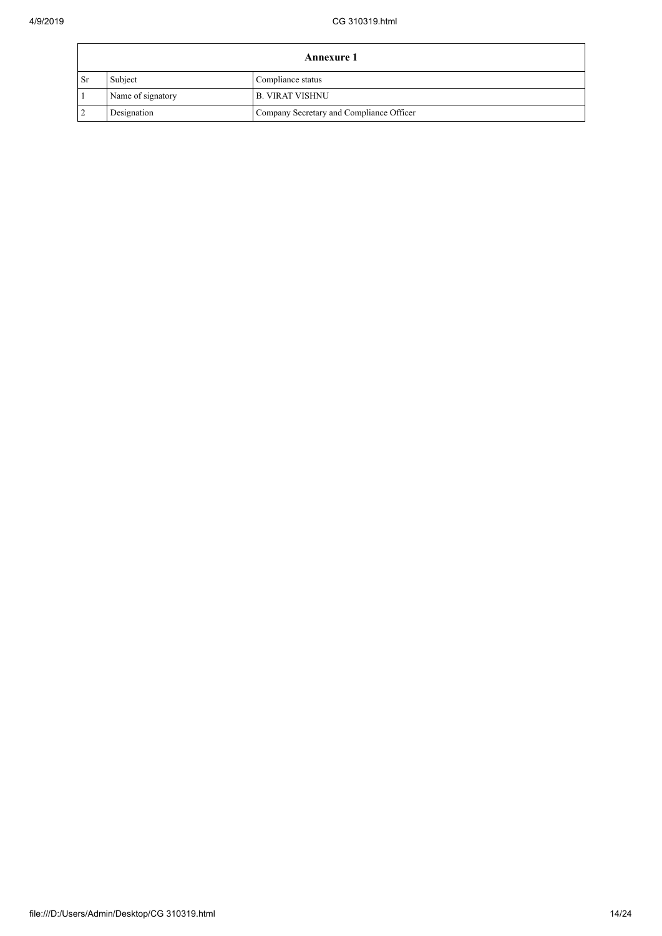|                 | <b>Annexure 1</b> |                                          |  |
|-----------------|-------------------|------------------------------------------|--|
| <sup>1</sup> Sr | Subject           | Compliance status                        |  |
|                 | Name of signatory | <b>B. VIRAT VISHNU</b>                   |  |
| $\overline{2}$  | Designation       | Company Secretary and Compliance Officer |  |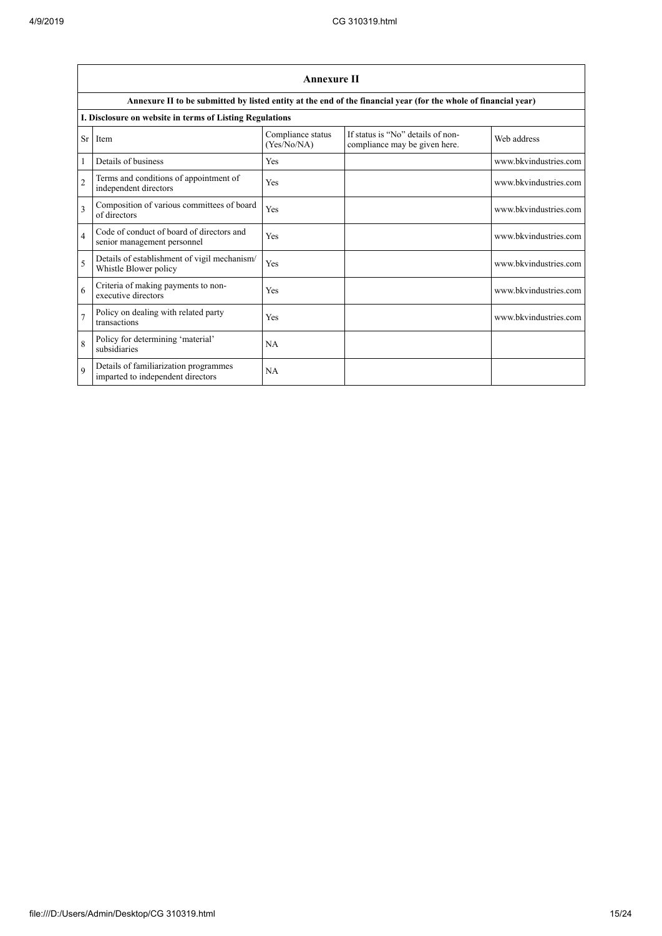|                          | <b>Annexure II</b>                                                         |                                  |                                                                                                                 |                       |  |
|--------------------------|----------------------------------------------------------------------------|----------------------------------|-----------------------------------------------------------------------------------------------------------------|-----------------------|--|
|                          |                                                                            |                                  | Annexure II to be submitted by listed entity at the end of the financial year (for the whole of financial year) |                       |  |
|                          | I. Disclosure on website in terms of Listing Regulations                   |                                  |                                                                                                                 |                       |  |
| Sr                       | Item                                                                       | Compliance status<br>(Yes/No/NA) | If status is "No" details of non-<br>compliance may be given here.                                              | Web address           |  |
|                          | Details of business                                                        | Yes                              |                                                                                                                 | www.bkvindustries.com |  |
| $\overline{2}$           | Terms and conditions of appointment of<br>independent directors            | Yes                              |                                                                                                                 | www.bkvindustries.com |  |
| 3                        | Composition of various committees of board<br>of directors                 | Yes                              |                                                                                                                 | www.bkvindustries.com |  |
| $\overline{4}$           | Code of conduct of board of directors and<br>senior management personnel   | Yes                              |                                                                                                                 | www.bkvindustries.com |  |
| $\overline{\phantom{0}}$ | Details of establishment of vigil mechanism/<br>Whistle Blower policy      | Yes                              |                                                                                                                 | www.bkvindustries.com |  |
| 6                        | Criteria of making payments to non-<br>executive directors                 | Yes                              |                                                                                                                 | www.bkvindustries.com |  |
| $\overline{7}$           | Policy on dealing with related party<br>transactions                       | Yes                              |                                                                                                                 | www.bkvindustries.com |  |
| 8                        | Policy for determining 'material'<br>subsidiaries                          | NA                               |                                                                                                                 |                       |  |
| $\mathbf Q$              | Details of familiarization programmes<br>imparted to independent directors | NA                               |                                                                                                                 |                       |  |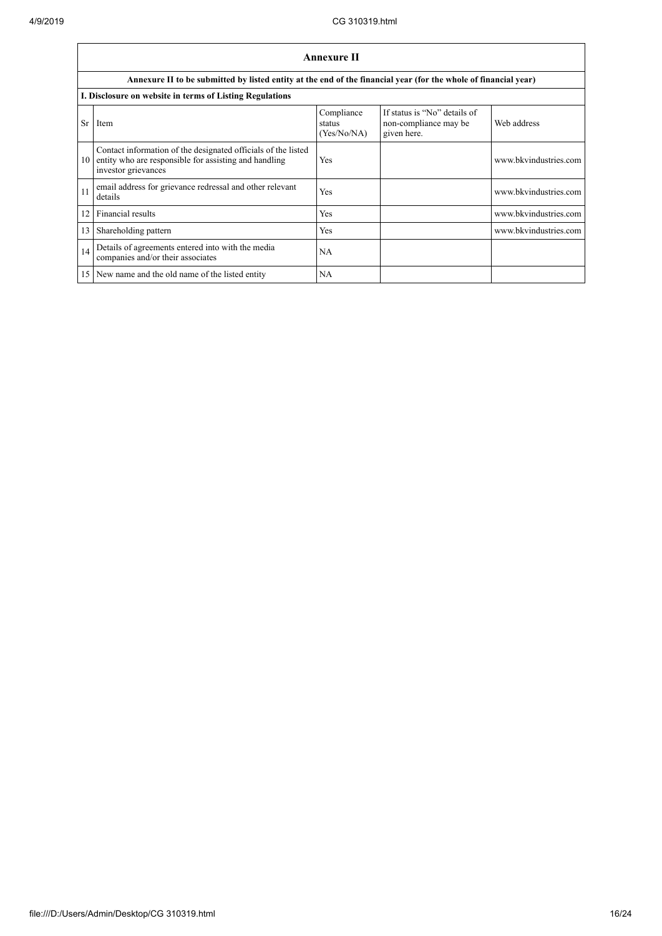|    | <b>Annexure II</b>                                                                                                                            |                                     |                                                                      |                       |  |
|----|-----------------------------------------------------------------------------------------------------------------------------------------------|-------------------------------------|----------------------------------------------------------------------|-----------------------|--|
|    | Annexure II to be submitted by listed entity at the end of the financial year (for the whole of financial year)                               |                                     |                                                                      |                       |  |
|    | I. Disclosure on website in terms of Listing Regulations                                                                                      |                                     |                                                                      |                       |  |
| Sr | Item                                                                                                                                          | Compliance<br>status<br>(Yes/No/NA) | If status is "No" details of<br>non-compliance may be<br>given here. | Web address           |  |
| 10 | Contact information of the designated officials of the listed<br>entity who are responsible for assisting and handling<br>investor grievances | Yes                                 |                                                                      | www.bkvindustries.com |  |
| 11 | email address for grievance redressal and other relevant<br>details                                                                           | Yes                                 |                                                                      | www.bkvindustries.com |  |
| 12 | Financial results                                                                                                                             | Yes                                 |                                                                      | www.bkvindustries.com |  |
| 13 | Shareholding pattern                                                                                                                          | Yes                                 |                                                                      | www.bkvindustries.com |  |
| 14 | Details of agreements entered into with the media<br>companies and/or their associates                                                        | <b>NA</b>                           |                                                                      |                       |  |
| 15 | New name and the old name of the listed entity                                                                                                | NA                                  |                                                                      |                       |  |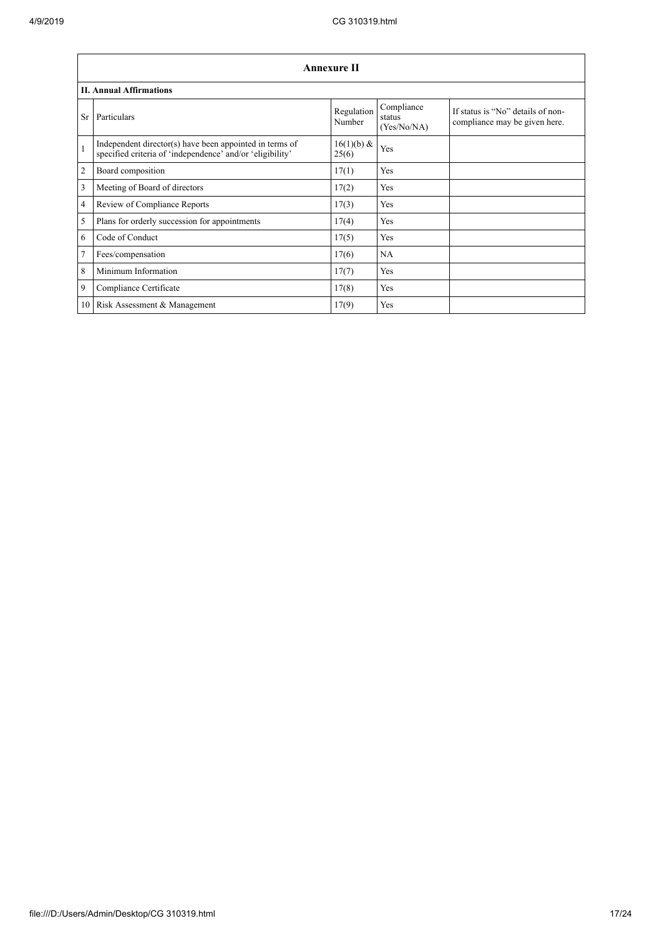|              | <b>Annexure II</b>                                                                                                   |                      |                                     |                                                                    |  |
|--------------|----------------------------------------------------------------------------------------------------------------------|----------------------|-------------------------------------|--------------------------------------------------------------------|--|
|              | <b>II. Annual Affirmations</b>                                                                                       |                      |                                     |                                                                    |  |
| Sr           | Particulars                                                                                                          | Regulation<br>Number | Compliance<br>status<br>(Yes/No/NA) | If status is "No" details of non-<br>compliance may be given here. |  |
| $\mathbf{1}$ | Independent director(s) have been appointed in terms of<br>specified criteria of 'independence' and/or 'eligibility' | 16(1)(b) &<br>25(6)  | Yes                                 |                                                                    |  |
| 2            | Board composition                                                                                                    | 17(1)                | Yes                                 |                                                                    |  |
| 3            | Meeting of Board of directors                                                                                        | 17(2)                | Yes                                 |                                                                    |  |
| 4            | Review of Compliance Reports                                                                                         | 17(3)                | Yes                                 |                                                                    |  |
| 5            | Plans for orderly succession for appointments                                                                        | 17(4)                | Yes                                 |                                                                    |  |
| 6            | Code of Conduct                                                                                                      | 17(5)                | Yes                                 |                                                                    |  |
| 7            | Fees/compensation                                                                                                    | 17(6)                | <b>NA</b>                           |                                                                    |  |
| 8            | Minimum Information                                                                                                  | 17(7)                | Yes                                 |                                                                    |  |
| 9            | Compliance Certificate                                                                                               | 17(8)                | Yes                                 |                                                                    |  |
| 10           | Risk Assessment & Management                                                                                         | 17(9)                | Yes                                 |                                                                    |  |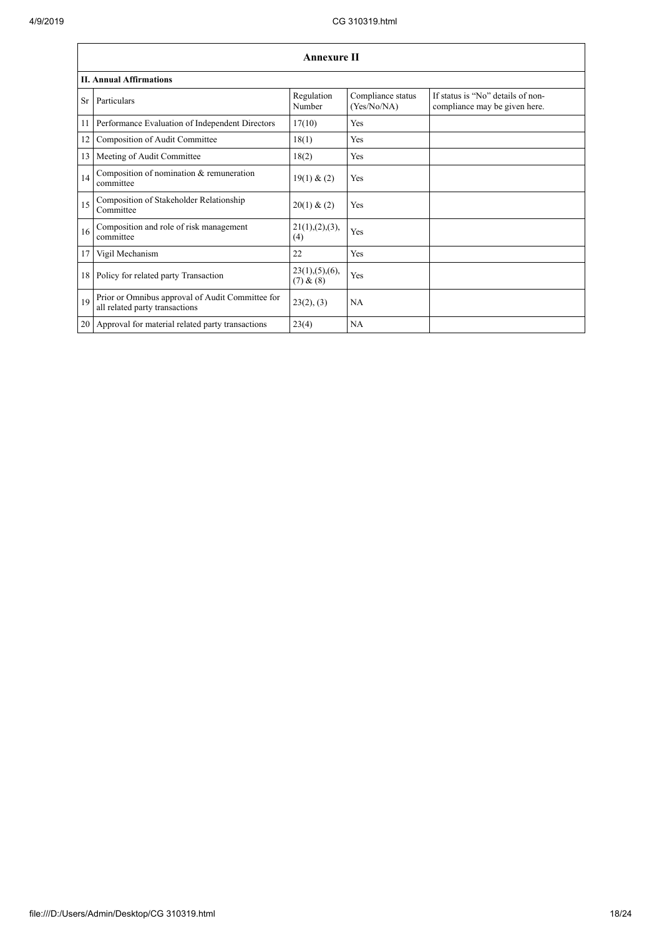|    | <b>Annexure II</b>                                                                 |                               |                                  |                                                                    |  |
|----|------------------------------------------------------------------------------------|-------------------------------|----------------------------------|--------------------------------------------------------------------|--|
|    | <b>II. Annual Affirmations</b>                                                     |                               |                                  |                                                                    |  |
| Sr | Particulars                                                                        | Regulation<br>Number          | Compliance status<br>(Yes/No/NA) | If status is "No" details of non-<br>compliance may be given here. |  |
| 11 | Performance Evaluation of Independent Directors                                    | 17(10)                        | Yes                              |                                                                    |  |
| 12 | Composition of Audit Committee                                                     | 18(1)                         | Yes                              |                                                                    |  |
| 13 | Meeting of Audit Committee                                                         | 18(2)                         | Yes                              |                                                                    |  |
| 14 | Composition of nomination & remuneration<br>committee                              | 19(1) & (2)                   | Yes                              |                                                                    |  |
| 15 | Composition of Stakeholder Relationship<br>Committee                               | 20(1) & (2)                   | Yes                              |                                                                    |  |
| 16 | Composition and role of risk management<br>committee                               | 21(1), (2), (3),<br>(4)       | Yes                              |                                                                    |  |
| 17 | Vigil Mechanism                                                                    | 22                            | Yes                              |                                                                    |  |
|    | 18 Policy for related party Transaction                                            | 23(1), (5), (6),<br>(7) & (8) | Yes                              |                                                                    |  |
| 19 | Prior or Omnibus approval of Audit Committee for<br>all related party transactions | 23(2), (3)                    | <b>NA</b>                        |                                                                    |  |
|    | 20 Approval for material related party transactions                                | 23(4)                         | <b>NA</b>                        |                                                                    |  |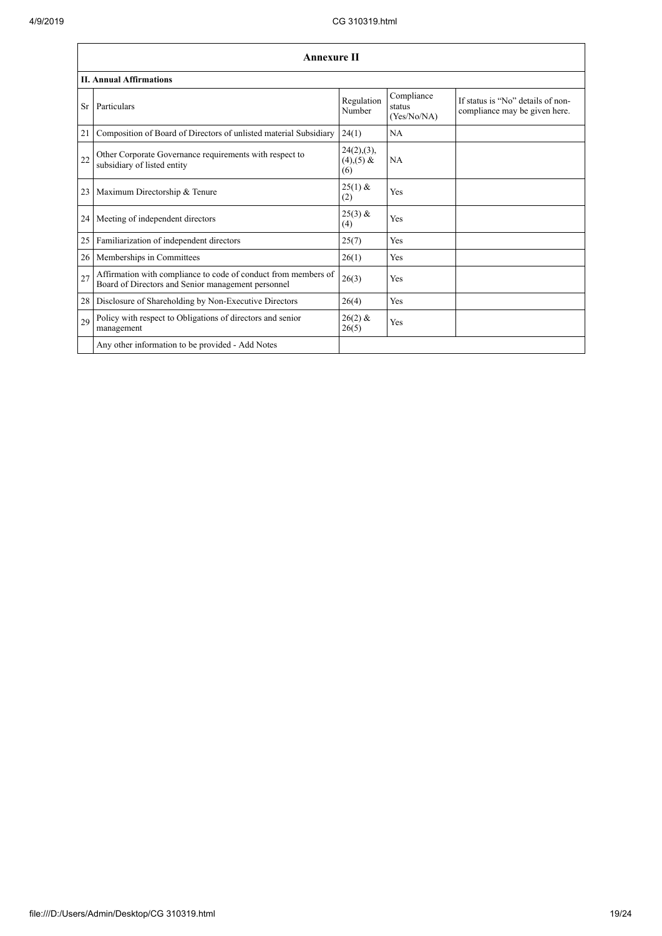|    | <b>Annexure II</b>                                                                                                   |                                      |                                     |                                                                    |
|----|----------------------------------------------------------------------------------------------------------------------|--------------------------------------|-------------------------------------|--------------------------------------------------------------------|
|    | <b>II. Annual Affirmations</b>                                                                                       |                                      |                                     |                                                                    |
| Sr | Particulars                                                                                                          | Regulation<br>Number                 | Compliance<br>status<br>(Yes/No/NA) | If status is "No" details of non-<br>compliance may be given here. |
| 21 | Composition of Board of Directors of unlisted material Subsidiary                                                    | 24(1)                                | NA                                  |                                                                    |
| 22 | Other Corporate Governance requirements with respect to<br>subsidiary of listed entity                               | 24(2),(3),<br>$(4)$ , $(5)$ &<br>(6) | <b>NA</b>                           |                                                                    |
| 23 | Maximum Directorship & Tenure                                                                                        | $25(1)$ &<br>(2)                     | Yes                                 |                                                                    |
| 24 | Meeting of independent directors                                                                                     | $25(3)$ &<br>(4)                     | Yes                                 |                                                                    |
| 25 | Familiarization of independent directors                                                                             | 25(7)                                | Yes                                 |                                                                    |
| 26 | Memberships in Committees                                                                                            | 26(1)                                | Yes                                 |                                                                    |
| 27 | Affirmation with compliance to code of conduct from members of<br>Board of Directors and Senior management personnel | 26(3)                                | Yes                                 |                                                                    |
| 28 | Disclosure of Shareholding by Non-Executive Directors                                                                | 26(4)                                | Yes                                 |                                                                    |
| 29 | Policy with respect to Obligations of directors and senior<br>management                                             | $26(2)$ &<br>26(5)                   | Yes                                 |                                                                    |
|    | Any other information to be provided - Add Notes                                                                     |                                      |                                     |                                                                    |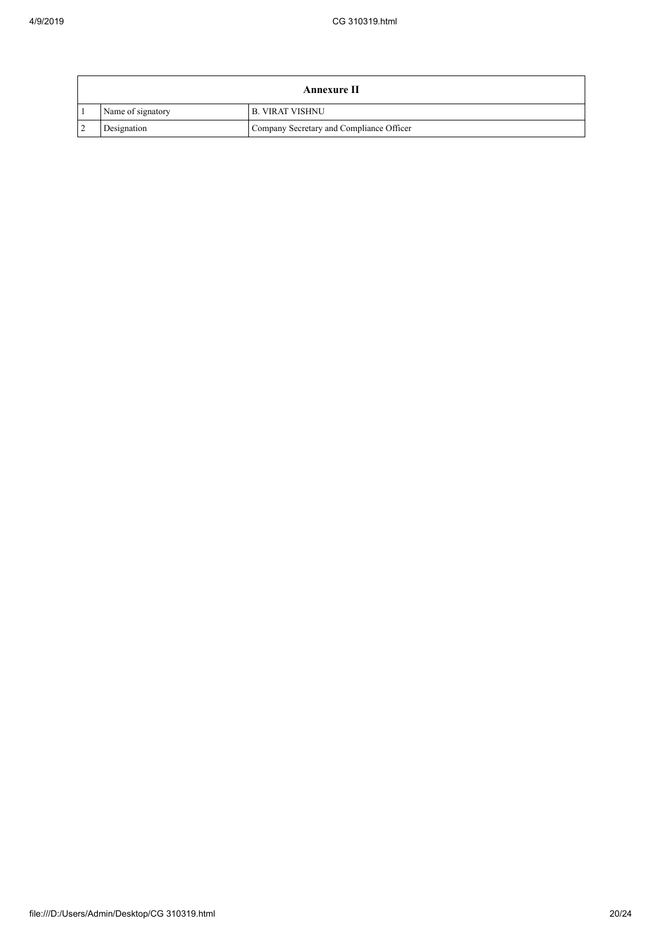|                   | <b>Annexure II</b>                       |
|-------------------|------------------------------------------|
| Name of signatory | I B. VIRAT VISHNU                        |
| Designation       | Company Secretary and Compliance Officer |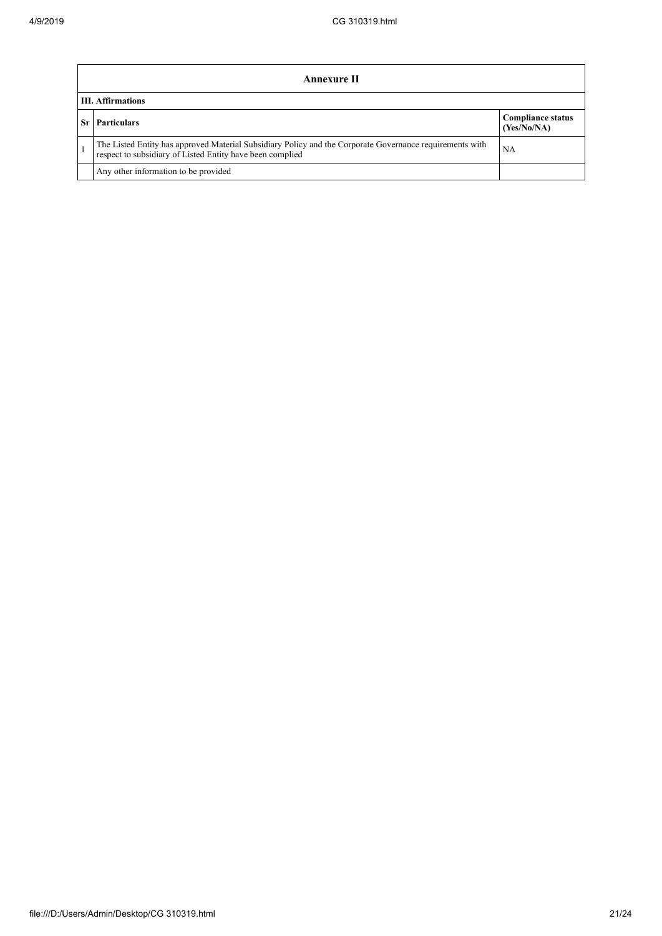| Annexure II                                                                                                                                                           |                                         |  |
|-----------------------------------------------------------------------------------------------------------------------------------------------------------------------|-----------------------------------------|--|
| <b>III.</b> Affirmations                                                                                                                                              |                                         |  |
| <b>Particulars</b>                                                                                                                                                    | <b>Compliance status</b><br>(Yes/No/NA) |  |
| The Listed Entity has approved Material Subsidiary Policy and the Corporate Governance requirements with<br>respect to subsidiary of Listed Entity have been complied | NA                                      |  |
| Any other information to be provided                                                                                                                                  |                                         |  |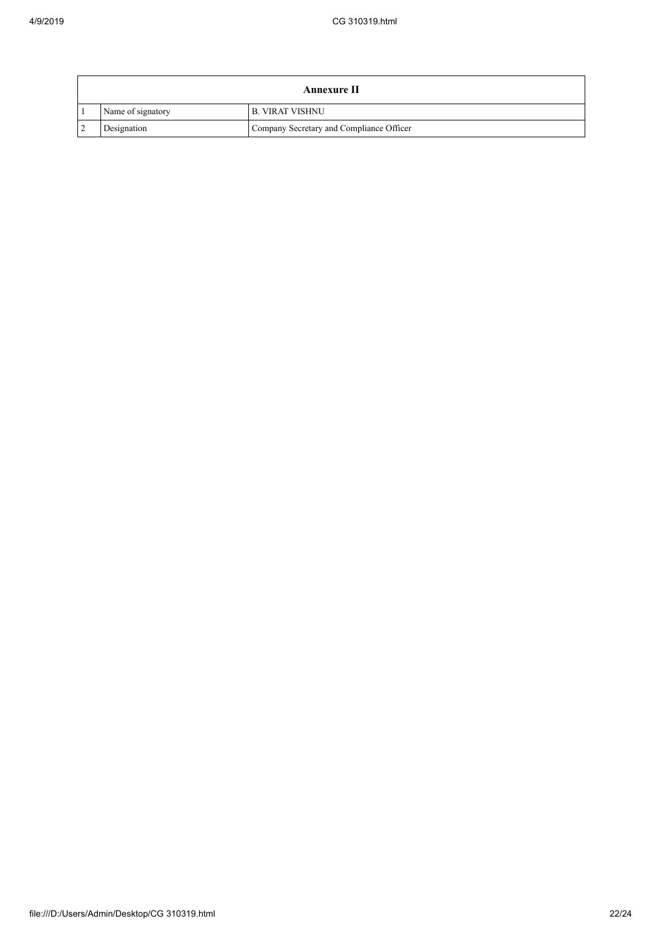|                   | <b>Annexure II</b>                       |
|-------------------|------------------------------------------|
| Name of signatory | I B. VIRAT VISHNU                        |
| Designation       | Company Secretary and Compliance Officer |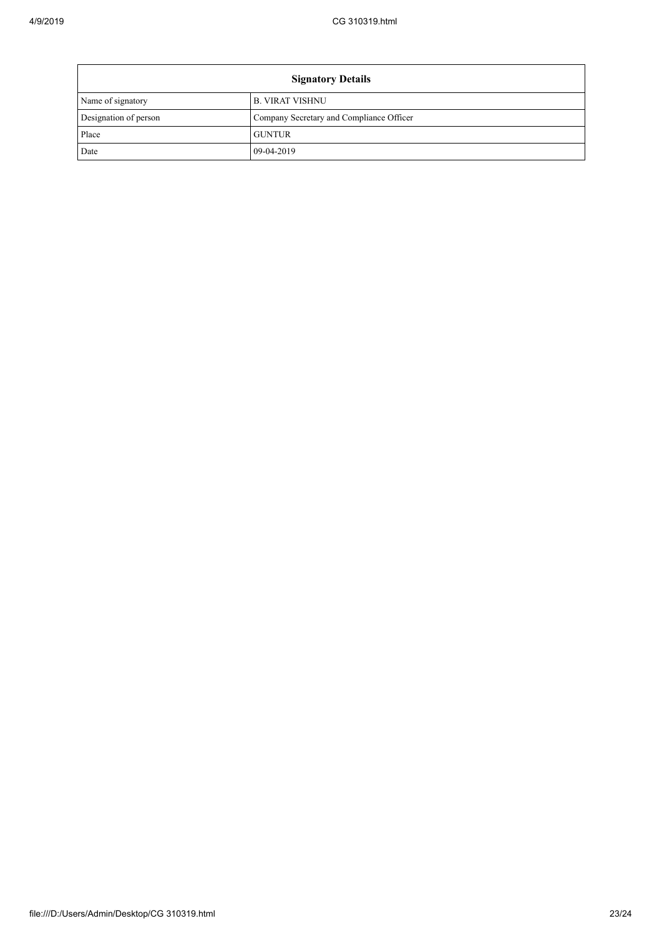| <b>Signatory Details</b> |                                          |  |
|--------------------------|------------------------------------------|--|
| Name of signatory        | <b>B. VIRAT VISHNU</b>                   |  |
| Designation of person    | Company Secretary and Compliance Officer |  |
| Place                    | <b>GUNTUR</b>                            |  |
| Date                     | 09-04-2019                               |  |